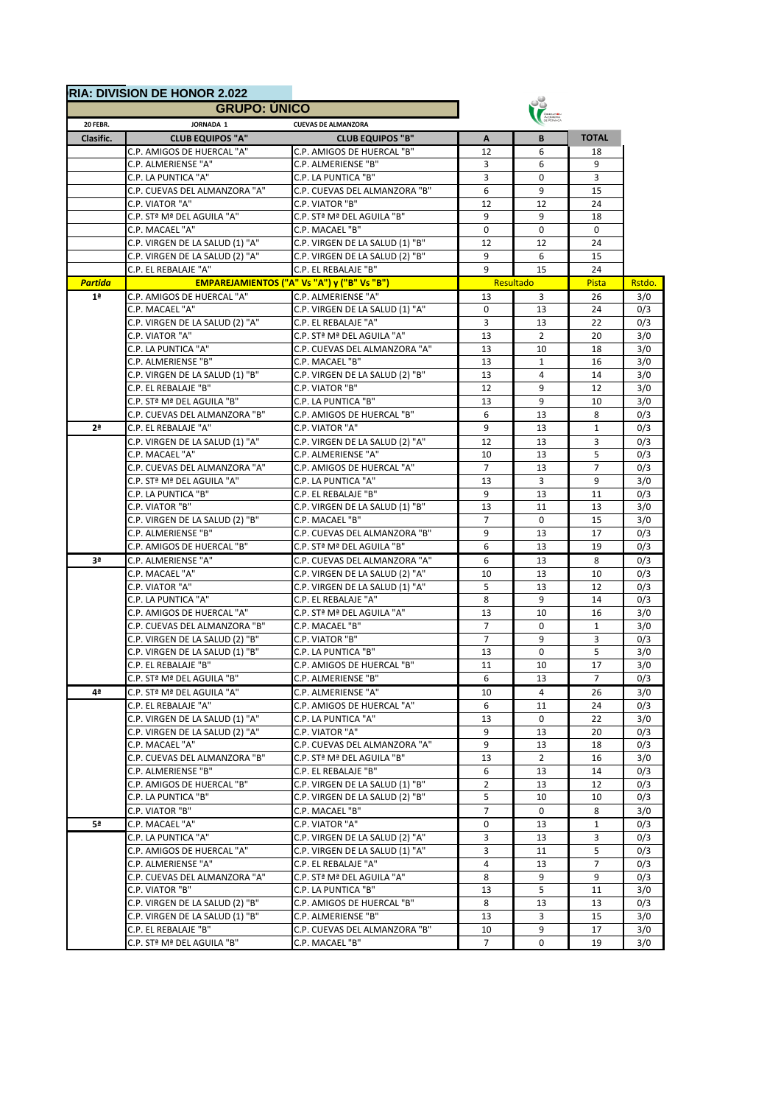|                                                     | <b>GRUPO: UNICO</b>             |                                                    |                 |                |                |        |
|-----------------------------------------------------|---------------------------------|----------------------------------------------------|-----------------|----------------|----------------|--------|
| JORNADA 1<br>20 FEBR.<br><b>CUEVAS DE ALMANZORA</b> |                                 |                                                    |                 |                |                |        |
| Clasific.                                           | <b>CLUB EQUIPOS "A"</b>         | <b>CLUB EQUIPOS "B"</b>                            | A               | B              | <b>TOTAL</b>   |        |
|                                                     | C.P. AMIGOS DE HUERCAL "A"      | C.P. AMIGOS DE HUERCAL "B"                         | 12              | 6              | 18             |        |
|                                                     | C.P. ALMERIENSE "A"             | C.P. ALMERIENSE "B"                                | 3               | 6              | 9              |        |
|                                                     | C.P. LA PUNTICA "A"             | C.P. LA PUNTICA "B"                                | 3               | 0              | 3              |        |
|                                                     | C.P. CUEVAS DEL ALMANZORA "A"   | C.P. CUEVAS DEL ALMANZORA "B"                      | 6               | 9              | 15             |        |
|                                                     | C.P. VIATOR "A"                 | C.P. VIATOR "B"                                    | 12              | 12             | 24             |        |
|                                                     | C.P. STª Mª DEL AGUILA "A"      | C.P. STª Mª DEL AGUILA "B"                         | 9               | 9              | 18             |        |
|                                                     | C.P. MACAEL "A"                 | C.P. MACAEL "B"                                    | $\mathbf 0$     | $\mathbf 0$    | 0              |        |
|                                                     | C.P. VIRGEN DE LA SALUD (1) "A" | C.P. VIRGEN DE LA SALUD (1) "B"                    | 12              | 12             | 24             |        |
|                                                     | C.P. VIRGEN DE LA SALUD (2) "A" | C.P. VIRGEN DE LA SALUD (2) "B"                    | 9               | 6              | 15             |        |
|                                                     | C.P. EL REBALAJE "A"            | C.P. EL REBALAJE "B"                               | 9               | 15             | 24             |        |
| <b>Partida</b>                                      |                                 | <b>EMPAREJAMIENTOS ("A" Vs "A") y ("B" Vs "B")</b> |                 | Resultado      | Pista          | Rstdo. |
| 1 <sup>a</sup>                                      | C.P. AMIGOS DE HUERCAL "A"      | C.P. ALMERIENSE "A"                                | 13              | 3              | 26             |        |
|                                                     | C.P. MACAEL "A"                 | C.P. VIRGEN DE LA SALUD (1) "A"                    | $\mathbf 0$     | 13             | 24             |        |
|                                                     | C.P. VIRGEN DE LA SALUD (2) "A" | C.P. EL REBALAJE "A"                               | 3               | 13             | 22             |        |
|                                                     | C.P. VIATOR "A"                 | C.P. STª Mª DEL AGUILA "A"                         | 13              | $\overline{2}$ | 20             |        |
|                                                     | C.P. LA PUNTICA "A"             | C.P. CUEVAS DEL ALMANZORA "A"                      | 13              | 10             | 18             |        |
|                                                     | C.P. ALMERIENSE "B"             | C.P. MACAEL "B"                                    | 13              | $\mathbf{1}$   | 16             |        |
|                                                     | C.P. VIRGEN DE LA SALUD (1) "B" | C.P. VIRGEN DE LA SALUD (2) "B"                    | 13              | 4              | 14             |        |
|                                                     | C.P. EL REBALAJE "B"            | C.P. VIATOR "B"                                    | 12              | 9              | 12             |        |
|                                                     | C.P. STª Mª DEL AGUILA "B"      | C.P. LA PUNTICA "B"                                | 13              | 9              | 10             |        |
|                                                     | C.P. CUEVAS DEL ALMANZORA "B"   | C.P. AMIGOS DE HUERCAL "B"                         | 6               | 13             | 8              |        |
| 2 <sup>a</sup>                                      | C.P. EL REBALAJE "A"            | C.P. VIATOR "A"                                    | 9               | 13             | $\mathbf{1}$   |        |
|                                                     | C.P. VIRGEN DE LA SALUD (1) "A" | C.P. VIRGEN DE LA SALUD (2) "A"                    | 12              | 13             | 3              |        |
|                                                     | C.P. MACAEL "A"                 | C.P. ALMERIENSE "A"                                | 10              | 13             | 5              |        |
|                                                     | C.P. CUEVAS DEL ALMANZORA "A"   | C.P. AMIGOS DE HUERCAL "A"                         | $\overline{7}$  | 13             | $\overline{7}$ |        |
|                                                     | C.P. STª Mª DEL AGUILA "A"      | C.P. LA PUNTICA "A"                                | 13              | 3              | 9              |        |
|                                                     | C.P. LA PUNTICA "B"             | C.P. EL REBALAJE "B"                               | 9               | 13             | 11             |        |
|                                                     | C.P. VIATOR "B"                 | C.P. VIRGEN DE LA SALUD (1) "B"                    | 13              | 11             | 13             |        |
|                                                     | C.P. VIRGEN DE LA SALUD (2) "B" | C.P. MACAEL "B"                                    | $\overline{7}$  | 0              | 15             |        |
|                                                     | C.P. ALMERIENSE "B"             | C.P. CUEVAS DEL ALMANZORA "B"                      | 9               | 13             | 17             |        |
|                                                     |                                 |                                                    |                 |                | 19             |        |
|                                                     | C.P. AMIGOS DE HUERCAL "B"      | C.P. STª Mª DEL AGUILA "B"                         | 6               | 13             |                |        |
| 3ª                                                  | C.P. ALMERIENSE "A"             | C.P. CUEVAS DEL ALMANZORA "A"                      | 6               | 13             | 8              |        |
|                                                     | C.P. MACAEL "A"                 | C.P. VIRGEN DE LA SALUD (2) "A"                    | 10              | 13             | 10             |        |
|                                                     | C.P. VIATOR "A"                 | C.P. VIRGEN DE LA SALUD (1) "A"                    | 5               | 13             | 12             |        |
|                                                     | C.P. LA PUNTICA "A"             | C.P. EL REBALAJE "A"                               | 8               | 9              | 14             |        |
|                                                     | C.P. AMIGOS DE HUERCAL "A"      | C.P. STª Mª DEL AGUILA "A"                         | 13              | 10             | 16             |        |
|                                                     | C.P. CUEVAS DEL ALMANZORA "B"   | C.P. MACAEL "B"                                    | $\overline{7}$  | 0              | 1              |        |
|                                                     | C.P. VIRGEN DE LA SALUD (2) "B" | C.P. VIATOR "B"                                    | $\overline{7}$  | 9              | 3              |        |
|                                                     | C.P. VIRGEN DE LA SALUD (1) "B" | C.P. LA PUNTICA "B"                                | 13              | 0              | 5              |        |
|                                                     | C.P. EL REBALAJE "B"            | C.P. AMIGOS DE HUERCAL "B"                         | 11              | 10             | 17             |        |
|                                                     | C.P. STª Mª DEL AGUILA "B"      | C.P. ALMERIENSE "B"                                | 6               | 13             |                |        |
| 4ª                                                  | C.P. STª Mª DEL AGUILA "A"      | C.P. ALMERIENSE "A"                                | 10              | 4              | 26             |        |
|                                                     | C.P. EL REBALAJE "A"            | C.P. AMIGOS DE HUERCAL "A"                         | 6               | 11             | 24             |        |
|                                                     | C.P. VIRGEN DE LA SALUD (1) "A" | C.P. LA PUNTICA "A"                                | 13              | 0              | 22             |        |
|                                                     | C.P. VIRGEN DE LA SALUD (2) "A" | C.P. VIATOR "A"                                    | 9               | 13             | 20             |        |
|                                                     | C.P. MACAEL "A"                 | C.P. CUEVAS DEL ALMANZORA "A"                      | 9               | 13             | 18             |        |
|                                                     | C.P. CUEVAS DEL ALMANZORA "B"   | C.P. STª Mª DEL AGUILA "B"                         | 13              | $\overline{2}$ | 16             |        |
|                                                     | C.P. ALMERIENSE "B"             | C.P. EL REBALAJE "B"                               | 6               | 13             | 14             |        |
|                                                     | C.P. AMIGOS DE HUERCAL "B"      | C.P. VIRGEN DE LA SALUD (1) "B"                    | $\overline{2}$  | 13             | 12             |        |
|                                                     | C.P. LA PUNTICA "B"             | C.P. VIRGEN DE LA SALUD (2) "B"                    | 5               | 10             | 10             |        |
|                                                     | C.P. VIATOR "B"                 | C.P. MACAEL "B"                                    | $\overline{7}$  | 0              | 8              |        |
| 5ª                                                  | C.P. MACAEL "A"                 | C.P. VIATOR "A"                                    | 0               | 13             | $\mathbf{1}$   |        |
|                                                     | C.P. LA PUNTICA "A"             | C.P. VIRGEN DE LA SALUD (2) "A"                    | 3               | 13             | 3              |        |
|                                                     | C.P. AMIGOS DE HUERCAL "A"      | C.P. VIRGEN DE LA SALUD (1) "A"                    | 3               | 11             | 5              |        |
|                                                     | C.P. ALMERIENSE "A"             | C.P. EL REBALAJE "A"                               | 4               | 13             | $\overline{7}$ |        |
|                                                     | C.P. CUEVAS DEL ALMANZORA "A"   | C.P. STª Mª DEL AGUILA "A"                         | 8               | 9              | 9              |        |
|                                                     | C.P. VIATOR "B"                 | C.P. LA PUNTICA "B"                                | 13              | 5              | 11             |        |
|                                                     |                                 | C.P. AMIGOS DE HUERCAL "B"                         |                 |                |                |        |
|                                                     | C.P. VIRGEN DE LA SALUD (2) "B" |                                                    | 8               | 13             | 13             |        |
|                                                     | C.P. VIRGEN DE LA SALUD (1) "B" | C.P. ALMERIENSE "B"                                | 13              | 3              | 15             |        |
|                                                     | C.P. EL REBALAJE "B"            | C.P. CUEVAS DEL ALMANZORA "B"                      | 10              | 9              | 17             |        |
|                                                     | C.P. STª Mª DEL AGUILA "B"      | C.P. MACAEL "B"                                    | $7\overline{ }$ | $\mathbf 0$    | 19             |        |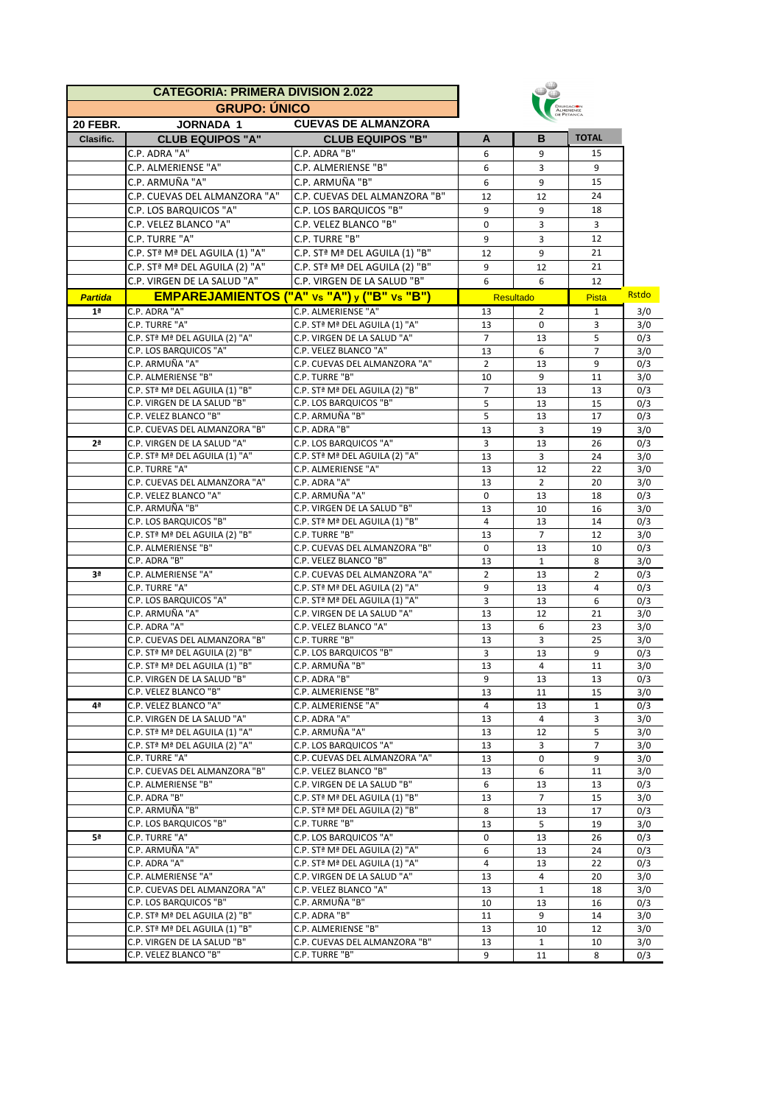| <b>CATEGORIA: PRIMERA DIVISION 2.022</b> |                                                               |                                                          |                      |                    |                     |              |
|------------------------------------------|---------------------------------------------------------------|----------------------------------------------------------|----------------------|--------------------|---------------------|--------------|
|                                          | <b>GRUPO: ÚNICO</b>                                           |                                                          |                      |                    |                     |              |
| <b>20 FEBR.</b>                          | <b>JORNADA 1</b>                                              | <b>CUEVAS DE ALMANZORA</b>                               |                      |                    |                     |              |
| Clasific.                                | <b>CLUB EQUIPOS "A"</b>                                       | <b>CLUB EQUIPOS "B"</b>                                  | A                    | B                  | <b>TOTAL</b>        |              |
|                                          | C.P. ADRA "A"                                                 | C.P. ADRA "B"                                            | 6                    | 9                  | 15                  |              |
|                                          | C.P. ALMERIENSE "A"                                           | C.P. ALMERIENSE "B"                                      | 6                    | 3                  | 9                   |              |
|                                          | C.P. ARMUÑA "A"                                               | C.P. ARMUÑA "B"                                          | 6                    | 9                  | 15                  |              |
|                                          | C.P. CUEVAS DEL ALMANZORA "A"                                 | C.P. CUEVAS DEL ALMANZORA "B"                            | 12                   | 12                 | 24                  |              |
|                                          | C.P. LOS BARQUICOS "A"                                        | C.P. LOS BARQUICOS "B"                                   | 9                    | 9                  | 18                  |              |
|                                          | C.P. VELEZ BLANCO "A"                                         | C.P. VELEZ BLANCO "B"                                    | 0                    | 3                  | 3                   |              |
|                                          | C.P. TURRE "A"                                                | C.P. TURRE "B"                                           | 9                    | 3                  | 12                  |              |
|                                          | C.P. STª Mª DEL AGUILA (1) "A"                                | C.P. STª Mª DEL AGUILA (1) "B"                           | 12                   | 9                  | 21                  |              |
|                                          | C.P. STª Mª DEL AGUILA (2) "A"                                | C.P. STª Mª DEL AGUILA (2) "B"                           | 9                    | 12                 | 21                  |              |
|                                          | C.P. VIRGEN DE LA SALUD "A"                                   | C.P. VIRGEN DE LA SALUD "B"                              | 6                    | 6                  | 12                  |              |
| <b>Partida</b>                           |                                                               | <b>EMPAREJAMIENTOS ("A" vs "A") y ("B" vs "B")</b>       |                      | <b>Resultado</b>   | Pista               | <b>Rstdo</b> |
| 1 <sup>a</sup>                           | C.P. ADRA "A"                                                 | C.P. ALMERIENSE "A"                                      | 13                   | 2                  | 1                   | 3/0          |
|                                          | C.P. TURRE "A"                                                | C.P. STª Mª DEL AGUILA (1) "A"                           | 13                   | $\mathbf 0$        | 3                   | 3/0          |
|                                          | C.P. STª Mª DEL AGUILA (2) "A"                                | C.P. VIRGEN DE LA SALUD "A"                              | $\overline{7}$       | 13                 | 5                   | 0/3          |
|                                          | C.P. LOS BARQUICOS "A"                                        | C.P. VELEZ BLANCO "A"                                    | 13                   | 6                  | $\overline{7}$      | 3/0          |
|                                          | C.P. ARMUÑA "A"                                               | C.P. CUEVAS DEL ALMANZORA "A"                            | $\overline{2}$       | 13                 | 9                   | 0/3          |
|                                          | C.P. ALMERIENSE "B"                                           | C.P. TURRE "B"                                           | 10                   | 9                  | 11                  | 3/0          |
|                                          | C.P. STª Mª DEL AGUILA (1) "B"                                | C.P. STª Mª DEL AGUILA (2) "B"<br>C.P. LOS BARQUICOS "B" | $\overline{7}$       | 13<br>13           | 13<br>15            | 0/3          |
|                                          | C.P. VIRGEN DE LA SALUD "B"<br>C.P. VELEZ BLANCO "B"          | C.P. ARMUÑA "B"                                          | 5<br>5               | 13                 | 17                  | 0/3<br>0/3   |
|                                          | C.P. CUEVAS DEL ALMANZORA "B"                                 | C.P. ADRA "B"                                            | 13                   | 3                  | 19                  | 3/0          |
| 2 <sup>a</sup>                           | C.P. VIRGEN DE LA SALUD "A"                                   | C.P. LOS BARQUICOS "A"                                   | 3                    | 13                 | 26                  | 0/3          |
|                                          | C.P. STª Mª DEL AGUILA (1) "A"                                | C.P. STª Mª DEL AGUILA (2) "A"                           | 13                   | 3                  | 24                  | 3/0          |
|                                          | C.P. TURRE "A"                                                | C.P. ALMERIENSE "A"                                      | 13                   | 12                 | 22                  | 3/0          |
|                                          | C.P. CUEVAS DEL ALMANZORA "A"                                 | C.P. ADRA "A"                                            | 13                   | $\overline{2}$     | 20                  | 3/0          |
|                                          | C.P. VELEZ BLANCO "A"                                         | C.P. ARMUÑA "A"                                          | $\mathbf 0$          | 13                 | 18                  | 0/3          |
|                                          | C.P. ARMUÑA "B"                                               | C.P. VIRGEN DE LA SALUD "B"                              | 13                   | 10                 | 16                  | 3/0          |
|                                          | C.P. LOS BARQUICOS "B"                                        | C.P. STª Mª DEL AGUILA (1) "B"                           | 4                    | 13                 | 14                  | 0/3          |
|                                          | C.P. STª Mª DEL AGUILA (2) "B"                                | C.P. TURRE "B"                                           | 13                   | $\overline{7}$     | 12                  | 3/0          |
|                                          | C.P. ALMERIENSE "B"                                           | C.P. CUEVAS DEL ALMANZORA "B"                            | 0                    | 13                 | 10                  | 0/3          |
| 3 <sup>a</sup>                           | C.P. ADRA "B"<br>C.P. ALMERIENSE "A"                          | C.P. VELEZ BLANCO "B"<br>C.P. CUEVAS DEL ALMANZORA "A"   | 13<br>$\overline{2}$ | $\mathbf{1}$<br>13 | 8<br>$\overline{2}$ | 3/0          |
|                                          | C.P. TURRE "A"                                                | C.P. STª Mª DEL AGUILA (2) "A"                           | 9                    | 13                 | 4                   | 0/3<br>0/3   |
|                                          | C.P. LOS BARQUICOS "A"                                        | C.P. STª Mª DEL AGUILA (1) "A"                           | 3                    | 13                 | 6                   | 0/3          |
|                                          | C.P. ARMUÑA "A"                                               | C.P. VIRGEN DE LA SALUD "A"                              | 13                   | 12                 | 21                  | 3/0          |
|                                          | C.P. ADRA "A"                                                 | C.P. VELEZ BLANCO "A"                                    | 13                   | 6                  | 23                  | 3/0          |
|                                          | C.P. CUEVAS DEL ALMANZORA "B"                                 | C.P. TURRE "B"                                           | 13                   | 3                  | 25                  | 3/0          |
|                                          | C.P. STª Mª DEL AGUILA (2) "B"                                | C.P. LOS BARQUICOS "B"                                   | 3                    | 13                 | 9                   | 0/3          |
|                                          | C.P. ST <sup>a</sup> M <sup>ª</sup> DEL AGUILA (1) "B"        | C.P. ARMUÑA "B"                                          | 13                   | 4                  | 11                  | 3/0          |
|                                          | C.P. VIRGEN DE LA SALUD "B"                                   | C.P. ADRA "B"                                            | 9                    | 13                 | 13                  | 0/3          |
|                                          | C.P. VELEZ BLANCO "B"                                         | C.P. ALMERIENSE "B"                                      | 13                   | 11                 | 15                  | 3/0          |
| 4ª                                       | C.P. VELEZ BLANCO "A"                                         | C.P. ALMERIENSE "A"                                      | $\overline{4}$       | 13                 | $\mathbf{1}$        | 0/3          |
|                                          | C.P. VIRGEN DE LA SALUD "A"<br>C.P. STª Mª DEL AGUILA (1) "A" | C.P. ADRA "A"<br>C.P. ARMUÑA "A"                         | 13<br>13             | 4<br>12            | 3                   | 3/0          |
|                                          | C.P. STª Mª DEL AGUILA (2) "A"                                | C.P. LOS BARQUICOS "A"                                   | 13                   | 3                  | 5<br>$\overline{7}$ | 3/0<br>3/0   |
|                                          | C.P. TURRE "A"                                                | C.P. CUEVAS DEL ALMANZORA "A"                            | 13                   | 0                  | 9                   | 3/0          |
|                                          | C.P. CUEVAS DEL ALMANZORA "B"                                 | C.P. VELEZ BLANCO "B"                                    | 13                   | 6                  | 11                  | 3/0          |
|                                          | C.P. ALMERIENSE "B"                                           | C.P. VIRGEN DE LA SALUD "B"                              | 6                    | 13                 | 13                  | 0/3          |
|                                          | C.P. ADRA "B"                                                 | C.P. STª Mª DEL AGUILA (1) "B"                           | 13                   | $\overline{7}$     | 15                  | 3/0          |
|                                          | C.P. ARMUÑA "B"                                               | C.P. STª Mª DEL AGUILA (2) "B"                           | 8                    | 13                 | 17                  | 0/3          |
|                                          | C.P. LOS BARQUICOS "B"                                        | C.P. TURRE "B"                                           | 13                   | 5                  | 19                  | 3/0          |
| 5ª                                       | C.P. TURRE "A"                                                | C.P. LOS BARQUICOS "A"                                   | 0                    | 13                 | 26                  | 0/3          |
|                                          | C.P. ARMUÑA "A"                                               | C.P. STª Mª DEL AGUILA (2) "A"                           | 6                    | 13                 | 24                  | 0/3          |
|                                          | C.P. ADRA "A"                                                 | C.P. STª Mª DEL AGUILA (1) "A"                           | 4                    | 13                 | 22                  | 0/3          |
|                                          | C.P. ALMERIENSE "A"                                           | C.P. VIRGEN DE LA SALUD "A"                              | 13                   | 4                  | 20                  | 3/0          |
|                                          | C.P. CUEVAS DEL ALMANZORA "A"<br>C.P. LOS BARQUICOS "B"       | C.P. VELEZ BLANCO "A"<br>C.P. ARMUÑA "B"                 | 13                   | $\mathbf{1}$<br>13 | 18                  | 3/0          |
|                                          | C.P. STª Mª DEL AGUILA (2) "B"                                | C.P. ADRA "B"                                            | 10<br>11             | 9                  | 16<br>14            | 0/3<br>3/0   |
|                                          | C.P. STª Mª DEL AGUILA (1) "B"                                | C.P. ALMERIENSE "B"                                      | 13                   | 10                 | 12                  | 3/0          |
|                                          | C.P. VIRGEN DE LA SALUD "B"                                   | C.P. CUEVAS DEL ALMANZORA "B"                            | 13                   | $\mathbf{1}$       | 10                  | 3/0          |
|                                          | C.P. VELEZ BLANCO "B"                                         | C.P. TURRE "B"                                           | 9                    | 11                 | 8                   | 0/3          |